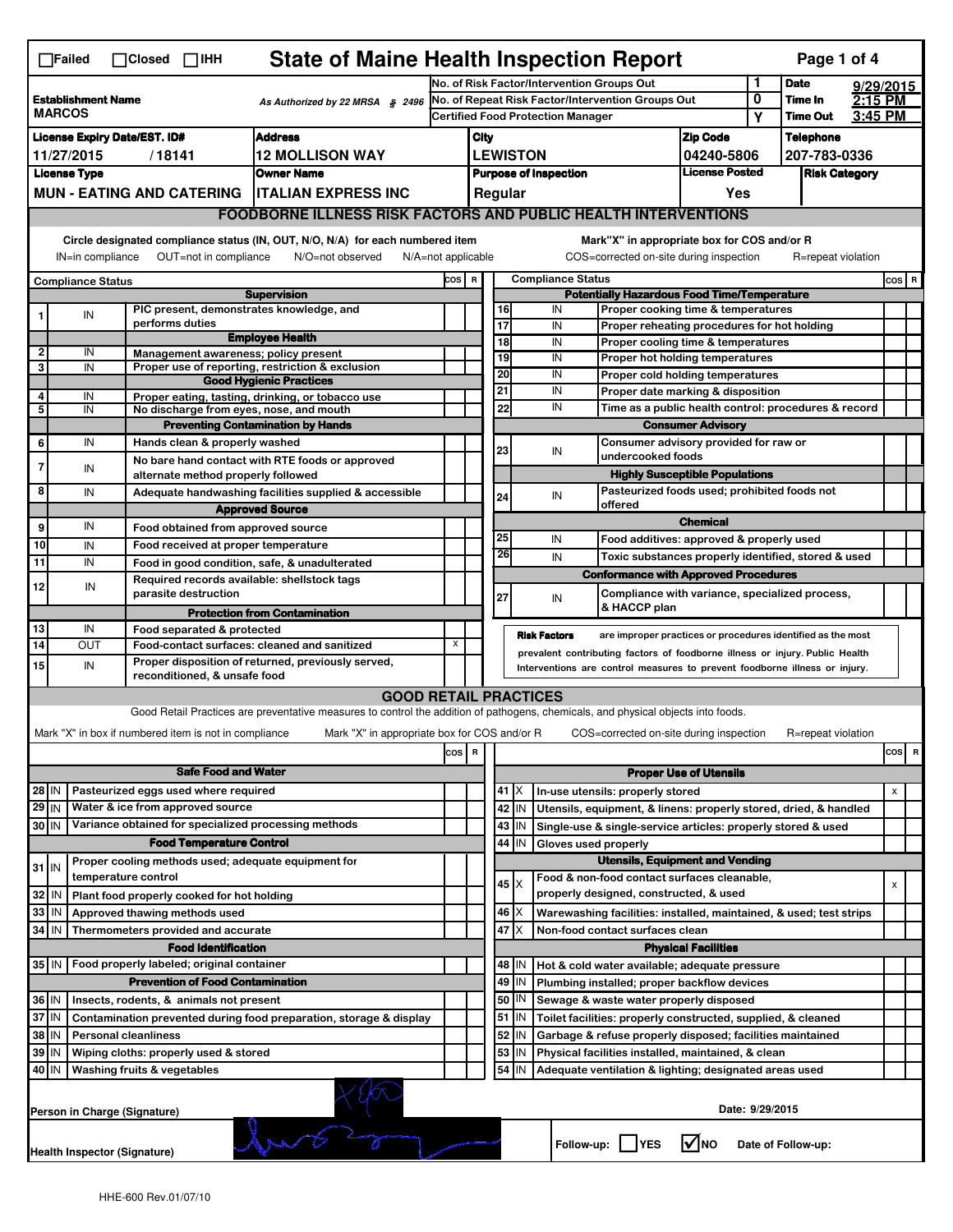|                                                                                                                                                                                                                                                                                           | <b>State of Maine Health Inspection Report</b><br>Page 1 of 4<br>$\Box$ Failed<br>$\Box$ Closed $\Box$ IHH |  |                                                                     |                                                                                                                                   |     |                                                                                        |                                                                                                                                                            |                                             |                                                              |                                                                                               |                               |                                                      |                      |           |                |   |
|-------------------------------------------------------------------------------------------------------------------------------------------------------------------------------------------------------------------------------------------------------------------------------------------|------------------------------------------------------------------------------------------------------------|--|---------------------------------------------------------------------|-----------------------------------------------------------------------------------------------------------------------------------|-----|----------------------------------------------------------------------------------------|------------------------------------------------------------------------------------------------------------------------------------------------------------|---------------------------------------------|--------------------------------------------------------------|-----------------------------------------------------------------------------------------------|-------------------------------|------------------------------------------------------|----------------------|-----------|----------------|---|
|                                                                                                                                                                                                                                                                                           |                                                                                                            |  |                                                                     |                                                                                                                                   |     | No. of Risk Factor/Intervention Groups Out                                             |                                                                                                                                                            |                                             |                                                              |                                                                                               |                               | 1                                                    | <b>Date</b>          | 9/29/2015 |                |   |
| <b>Establishment Name</b><br>As Authorized by 22 MRSA § 2496<br><b>MARCOS</b>                                                                                                                                                                                                             |                                                                                                            |  |                                                                     |                                                                                                                                   |     | No. of Repeat Risk Factor/Intervention Groups Out                                      |                                                                                                                                                            |                                             |                                                              |                                                                                               | 0                             | Time In<br><b>Time Out</b>                           | 2:15 PM              |           |                |   |
|                                                                                                                                                                                                                                                                                           |                                                                                                            |  |                                                                     |                                                                                                                                   |     | <b>Certified Food Protection Manager</b>                                               |                                                                                                                                                            |                                             |                                                              |                                                                                               |                               | Υ                                                    |                      | 3:45 PM   |                |   |
| <b>Address</b><br><b>License Expiry Date/EST. ID#</b>                                                                                                                                                                                                                                     |                                                                                                            |  |                                                                     |                                                                                                                                   |     | <b>Zip Code</b><br>City                                                                |                                                                                                                                                            |                                             |                                                              |                                                                                               |                               | <b>Telephone</b>                                     |                      |           |                |   |
| <b>12 MOLLISON WAY</b><br>11/27/2015<br>/18141                                                                                                                                                                                                                                            |                                                                                                            |  |                                                                     |                                                                                                                                   |     | <b>LEWISTON</b><br>04240-5806<br><b>License Posted</b><br><b>Purpose of Inspection</b> |                                                                                                                                                            |                                             |                                                              | 207-783-0336                                                                                  |                               |                                                      |                      |           |                |   |
| <b>License Type</b><br><b>Owner Name</b>                                                                                                                                                                                                                                                  |                                                                                                            |  |                                                                     |                                                                                                                                   |     |                                                                                        |                                                                                                                                                            |                                             |                                                              |                                                                                               |                               |                                                      | <b>Risk Category</b> |           |                |   |
|                                                                                                                                                                                                                                                                                           | <b>MUN - EATING AND CATERING</b><br><b>ITALIAN EXPRESS INC</b>                                             |  |                                                                     |                                                                                                                                   |     |                                                                                        |                                                                                                                                                            | Regular                                     |                                                              |                                                                                               | Yes                           |                                                      |                      |           |                |   |
|                                                                                                                                                                                                                                                                                           |                                                                                                            |  |                                                                     | <b>FOODBORNE ILLNESS RISK FACTORS AND PUBLIC HEALTH INTERVENTIONS</b>                                                             |     |                                                                                        |                                                                                                                                                            |                                             |                                                              |                                                                                               |                               |                                                      |                      |           |                |   |
| Circle designated compliance status (IN, OUT, N/O, N/A) for each numbered item<br>Mark"X" in appropriate box for COS and/or R<br>IN=in compliance<br>OUT=not in compliance<br>N/O=not observed<br>COS=corrected on-site during inspection<br>R=repeat violation<br>$N/A = not$ applicable |                                                                                                            |  |                                                                     |                                                                                                                                   |     |                                                                                        |                                                                                                                                                            |                                             |                                                              |                                                                                               |                               |                                                      |                      |           |                |   |
| <b>Compliance Status</b>                                                                                                                                                                                                                                                                  |                                                                                                            |  |                                                                     |                                                                                                                                   |     | <b>Compliance Status</b><br>COS R                                                      |                                                                                                                                                            |                                             |                                                              |                                                                                               |                               |                                                      |                      |           | COS R          |   |
| <b>Supervision</b>                                                                                                                                                                                                                                                                        |                                                                                                            |  |                                                                     |                                                                                                                                   |     | <b>Potentially Hazardous Food Time/Temperature</b>                                     |                                                                                                                                                            |                                             |                                                              |                                                                                               |                               |                                                      |                      |           |                |   |
|                                                                                                                                                                                                                                                                                           | IN                                                                                                         |  | PIC present, demonstrates knowledge, and                            |                                                                                                                                   |     |                                                                                        | 16<br>IN<br>Proper cooking time & temperatures                                                                                                             |                                             |                                                              |                                                                                               |                               |                                                      |                      |           |                |   |
|                                                                                                                                                                                                                                                                                           |                                                                                                            |  | performs duties                                                     | <b>Employee Health</b>                                                                                                            |     |                                                                                        | $\overline{17}$                                                                                                                                            |                                             | IN                                                           | Proper reheating procedures for hot holding                                                   |                               |                                                      |                      |           |                |   |
| $\mathbf{2}$                                                                                                                                                                                                                                                                              | IN                                                                                                         |  | Management awareness; policy present                                |                                                                                                                                   |     |                                                                                        | 18<br>19                                                                                                                                                   |                                             | IN<br>IN                                                     | Proper cooling time & temperatures                                                            |                               |                                                      |                      |           |                |   |
| 3                                                                                                                                                                                                                                                                                         | IN                                                                                                         |  |                                                                     | Proper use of reporting, restriction & exclusion                                                                                  |     |                                                                                        | 20                                                                                                                                                         |                                             | IN                                                           | Proper hot holding temperatures<br>Proper cold holding temperatures                           |                               |                                                      |                      |           |                |   |
|                                                                                                                                                                                                                                                                                           |                                                                                                            |  |                                                                     | <b>Good Hygienic Practices</b>                                                                                                    |     |                                                                                        | 21                                                                                                                                                         |                                             | IN                                                           | Proper date marking & disposition                                                             |                               |                                                      |                      |           |                |   |
| 4<br>5                                                                                                                                                                                                                                                                                    | IN<br>IN                                                                                                   |  | No discharge from eyes, nose, and mouth                             | Proper eating, tasting, drinking, or tobacco use                                                                                  |     |                                                                                        | 22                                                                                                                                                         |                                             | IN                                                           |                                                                                               |                               | Time as a public health control: procedures & record |                      |           |                |   |
|                                                                                                                                                                                                                                                                                           |                                                                                                            |  |                                                                     | <b>Preventing Contamination by Hands</b>                                                                                          |     |                                                                                        |                                                                                                                                                            |                                             |                                                              |                                                                                               | <b>Consumer Advisory</b>      |                                                      |                      |           |                |   |
| 6                                                                                                                                                                                                                                                                                         | IN                                                                                                         |  | Hands clean & properly washed                                       |                                                                                                                                   |     |                                                                                        |                                                                                                                                                            |                                             | Consumer advisory provided for raw or                        |                                                                                               |                               |                                                      |                      |           |                |   |
|                                                                                                                                                                                                                                                                                           |                                                                                                            |  |                                                                     | No bare hand contact with RTE foods or approved                                                                                   |     |                                                                                        | 23                                                                                                                                                         |                                             | IN                                                           | undercooked foods                                                                             |                               |                                                      |                      |           |                |   |
| 7                                                                                                                                                                                                                                                                                         | IN                                                                                                         |  | alternate method properly followed                                  |                                                                                                                                   |     |                                                                                        |                                                                                                                                                            |                                             |                                                              | <b>Highly Susceptible Populations</b>                                                         |                               |                                                      |                      |           |                |   |
| 8                                                                                                                                                                                                                                                                                         | IN                                                                                                         |  |                                                                     | Adequate handwashing facilities supplied & accessible                                                                             |     |                                                                                        | 24                                                                                                                                                         |                                             | IN                                                           | Pasteurized foods used; prohibited foods not                                                  |                               |                                                      |                      |           |                |   |
|                                                                                                                                                                                                                                                                                           |                                                                                                            |  |                                                                     | <b>Approved Source</b>                                                                                                            |     |                                                                                        |                                                                                                                                                            |                                             | offered                                                      |                                                                                               |                               |                                                      |                      |           |                |   |
| 9                                                                                                                                                                                                                                                                                         | IN                                                                                                         |  | Food obtained from approved source                                  |                                                                                                                                   |     |                                                                                        |                                                                                                                                                            |                                             |                                                              |                                                                                               | <b>Chemical</b>               |                                                      |                      |           |                |   |
| 10                                                                                                                                                                                                                                                                                        | IN                                                                                                         |  | Food received at proper temperature                                 |                                                                                                                                   |     |                                                                                        | 25<br>26                                                                                                                                                   |                                             | IN                                                           | Food additives: approved & properly used                                                      |                               |                                                      |                      |           |                |   |
| 11                                                                                                                                                                                                                                                                                        | IN                                                                                                         |  |                                                                     | Food in good condition, safe, & unadulterated                                                                                     |     |                                                                                        |                                                                                                                                                            |                                             | IN                                                           | Toxic substances properly identified, stored & used                                           |                               |                                                      |                      |           |                |   |
| 12                                                                                                                                                                                                                                                                                        | IN                                                                                                         |  | Required records available: shellstock tags<br>parasite destruction |                                                                                                                                   |     |                                                                                        |                                                                                                                                                            |                                             |                                                              | <b>Conformance with Approved Procedures</b><br>Compliance with variance, specialized process, |                               |                                                      |                      |           |                |   |
|                                                                                                                                                                                                                                                                                           |                                                                                                            |  |                                                                     | <b>Protection from Contamination</b>                                                                                              |     |                                                                                        | 27                                                                                                                                                         |                                             | IN                                                           | & HACCP plan                                                                                  |                               |                                                      |                      |           |                |   |
| 13                                                                                                                                                                                                                                                                                        | IN                                                                                                         |  | Food separated & protected                                          |                                                                                                                                   |     |                                                                                        |                                                                                                                                                            |                                             |                                                              |                                                                                               |                               |                                                      |                      |           |                |   |
| 14                                                                                                                                                                                                                                                                                        | OUT                                                                                                        |  | Food-contact surfaces: cleaned and sanitized                        |                                                                                                                                   | x   |                                                                                        |                                                                                                                                                            |                                             | <b>Risk Factors</b>                                          | are improper practices or procedures identified as the most                                   |                               |                                                      |                      |           |                |   |
| 15                                                                                                                                                                                                                                                                                        | IN                                                                                                         |  |                                                                     | Proper disposition of returned, previously served,                                                                                |     |                                                                                        | prevalent contributing factors of foodborne illness or injury. Public Health<br>Interventions are control measures to prevent foodborne illness or injury. |                                             |                                                              |                                                                                               |                               |                                                      |                      |           |                |   |
|                                                                                                                                                                                                                                                                                           |                                                                                                            |  | reconditioned, & unsafe food                                        |                                                                                                                                   |     |                                                                                        |                                                                                                                                                            |                                             |                                                              |                                                                                               |                               |                                                      |                      |           |                |   |
|                                                                                                                                                                                                                                                                                           |                                                                                                            |  |                                                                     | <b>GOOD RETAIL PRACTICES</b>                                                                                                      |     |                                                                                        |                                                                                                                                                            |                                             |                                                              |                                                                                               |                               |                                                      |                      |           |                |   |
|                                                                                                                                                                                                                                                                                           |                                                                                                            |  |                                                                     | Good Retail Practices are preventative measures to control the addition of pathogens, chemicals, and physical objects into foods. |     |                                                                                        |                                                                                                                                                            |                                             |                                                              |                                                                                               |                               |                                                      |                      |           |                |   |
|                                                                                                                                                                                                                                                                                           |                                                                                                            |  | Mark "X" in box if numbered item is not in compliance               | Mark "X" in appropriate box for COS and/or R                                                                                      |     |                                                                                        |                                                                                                                                                            |                                             |                                                              | COS=corrected on-site during inspection                                                       |                               |                                                      | R=repeat violation   |           |                |   |
|                                                                                                                                                                                                                                                                                           |                                                                                                            |  |                                                                     |                                                                                                                                   | cos | R                                                                                      |                                                                                                                                                            |                                             |                                                              |                                                                                               |                               |                                                      |                      |           | cos            | R |
|                                                                                                                                                                                                                                                                                           | <b>Safe Food and Water</b>                                                                                 |  |                                                                     |                                                                                                                                   |     |                                                                                        |                                                                                                                                                            |                                             |                                                              |                                                                                               | <b>Proper Use of Utensils</b> |                                                      |                      |           |                |   |
| 28 IN                                                                                                                                                                                                                                                                                     |                                                                                                            |  | Pasteurized eggs used where required                                |                                                                                                                                   |     |                                                                                        |                                                                                                                                                            | X<br>41                                     |                                                              | In-use utensils: properly stored                                                              |                               |                                                      |                      |           | $\pmb{\times}$ |   |
| $29$ IN                                                                                                                                                                                                                                                                                   |                                                                                                            |  | Water & ice from approved source                                    |                                                                                                                                   |     |                                                                                        |                                                                                                                                                            | 42 IN                                       |                                                              | Utensils, equipment, & linens: properly stored, dried, & handled                              |                               |                                                      |                      |           |                |   |
| 30 IN                                                                                                                                                                                                                                                                                     |                                                                                                            |  | Variance obtained for specialized processing methods                |                                                                                                                                   |     |                                                                                        |                                                                                                                                                            | 43 IN                                       |                                                              | Single-use & single-service articles: properly stored & used                                  |                               |                                                      |                      |           |                |   |
| <b>Food Temperature Control</b>                                                                                                                                                                                                                                                           |                                                                                                            |  |                                                                     |                                                                                                                                   |     |                                                                                        | 44                                                                                                                                                         | IN                                          | Gloves used properly                                         |                                                                                               |                               |                                                      |                      |           |                |   |
| Proper cooling methods used; adequate equipment for<br>$31$ IN                                                                                                                                                                                                                            |                                                                                                            |  |                                                                     |                                                                                                                                   |     |                                                                                        | <b>Utensils, Equipment and Vending</b>                                                                                                                     |                                             |                                                              |                                                                                               |                               |                                                      |                      |           |                |   |
|                                                                                                                                                                                                                                                                                           |                                                                                                            |  | temperature control                                                 |                                                                                                                                   |     |                                                                                        |                                                                                                                                                            | $45 \times$                                 |                                                              | Food & non-food contact surfaces cleanable,                                                   |                               |                                                      |                      |           | X              |   |
| 32                                                                                                                                                                                                                                                                                        | ۱N                                                                                                         |  | Plant food properly cooked for hot holding                          |                                                                                                                                   |     |                                                                                        |                                                                                                                                                            |                                             |                                                              | properly designed, constructed, & used                                                        |                               |                                                      |                      |           |                |   |
| 33                                                                                                                                                                                                                                                                                        | IN                                                                                                         |  | Approved thawing methods used                                       |                                                                                                                                   |     |                                                                                        |                                                                                                                                                            | 46   X                                      |                                                              | Warewashing facilities: installed, maintained, & used; test strips                            |                               |                                                      |                      |           |                |   |
| 34 IN                                                                                                                                                                                                                                                                                     |                                                                                                            |  | Thermometers provided and accurate                                  |                                                                                                                                   |     |                                                                                        |                                                                                                                                                            | 47<br>ΙX<br>Non-food contact surfaces clean |                                                              |                                                                                               |                               |                                                      |                      |           |                |   |
|                                                                                                                                                                                                                                                                                           |                                                                                                            |  | <b>Food Identification</b>                                          |                                                                                                                                   |     |                                                                                        | <b>Physical Facilities</b>                                                                                                                                 |                                             |                                                              |                                                                                               |                               |                                                      |                      |           |                |   |
| Food properly labeled; original container<br>35 IN                                                                                                                                                                                                                                        |                                                                                                            |  |                                                                     |                                                                                                                                   |     |                                                                                        | 48   IN                                                                                                                                                    |                                             | Hot & cold water available; adequate pressure                |                                                                                               |                               |                                                      |                      |           |                |   |
| <b>Prevention of Food Contamination</b>                                                                                                                                                                                                                                                   |                                                                                                            |  |                                                                     |                                                                                                                                   | 49  | IN                                                                                     |                                                                                                                                                            | Plumbing installed; proper backflow devices |                                                              |                                                                                               |                               |                                                      |                      |           |                |   |
| 36 IN<br>Insects, rodents, & animals not present                                                                                                                                                                                                                                          |                                                                                                            |  |                                                                     |                                                                                                                                   |     |                                                                                        | 50   IN                                                                                                                                                    |                                             | Sewage & waste water properly disposed                       |                                                                                               |                               |                                                      |                      |           |                |   |
| 37 IN<br>Contamination prevented during food preparation, storage & display                                                                                                                                                                                                               |                                                                                                            |  |                                                                     |                                                                                                                                   |     |                                                                                        | $51$ $\vert$ IN                                                                                                                                            |                                             | Toilet facilities: properly constructed, supplied, & cleaned |                                                                                               |                               |                                                      |                      |           |                |   |
| 38 IN<br><b>Personal cleanliness</b>                                                                                                                                                                                                                                                      |                                                                                                            |  |                                                                     |                                                                                                                                   |     |                                                                                        | 52 IN                                                                                                                                                      |                                             | Garbage & refuse properly disposed; facilities maintained    |                                                                                               |                               |                                                      |                      |           |                |   |
| 39 IN                                                                                                                                                                                                                                                                                     |                                                                                                            |  | Wiping cloths: properly used & stored                               |                                                                                                                                   |     |                                                                                        | 53                                                                                                                                                         | IN                                          |                                                              | Physical facilities installed, maintained, & clean                                            |                               |                                                      |                      |           |                |   |
|                                                                                                                                                                                                                                                                                           | 54<br>40 IN<br>Washing fruits & vegetables<br>IN<br>Adequate ventilation & lighting; designated areas used |  |                                                                     |                                                                                                                                   |     |                                                                                        |                                                                                                                                                            |                                             |                                                              |                                                                                               |                               |                                                      |                      |           |                |   |
|                                                                                                                                                                                                                                                                                           | Date: 9/29/2015<br>Person in Charge (Signature)                                                            |  |                                                                     |                                                                                                                                   |     |                                                                                        |                                                                                                                                                            |                                             |                                                              |                                                                                               |                               |                                                      |                      |           |                |   |
|                                                                                                                                                                                                                                                                                           | l√lno<br>Follow-up:  <br><b>IYES</b><br>Date of Follow-up:<br>Health Inspector (Signature)                 |  |                                                                     |                                                                                                                                   |     |                                                                                        |                                                                                                                                                            |                                             |                                                              |                                                                                               |                               |                                                      |                      |           |                |   |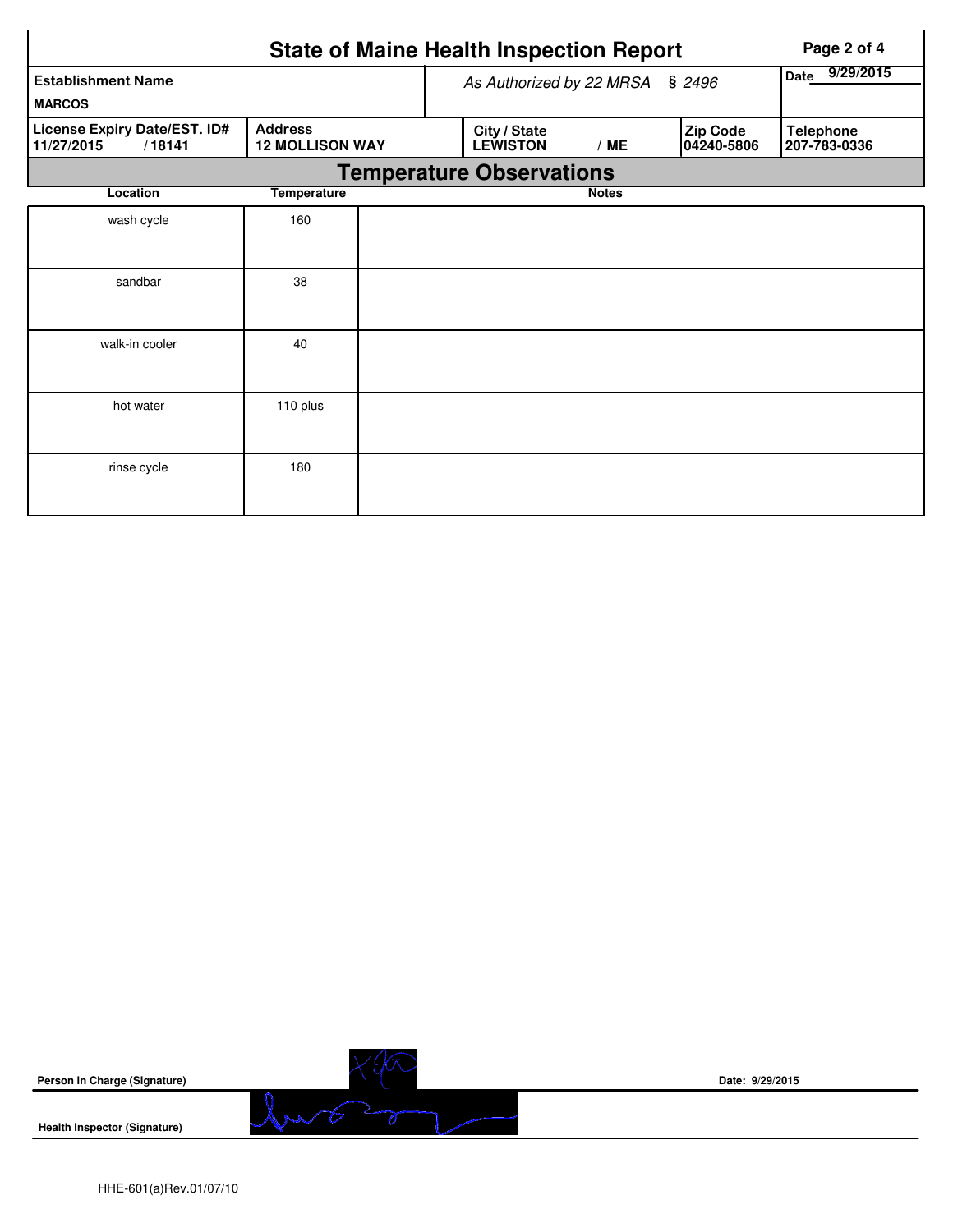|                                                      | Page 2 of 4                              |  |                                 |                          |                        |                                  |  |  |  |  |  |
|------------------------------------------------------|------------------------------------------|--|---------------------------------|--------------------------|------------------------|----------------------------------|--|--|--|--|--|
| <b>Establishment Name</b>                            |                                          |  | As Authorized by 22 MRSA § 2496 | 9/29/2015<br><b>Date</b> |                        |                                  |  |  |  |  |  |
| <b>MARCOS</b>                                        |                                          |  |                                 |                          |                        |                                  |  |  |  |  |  |
| License Expiry Date/EST. ID#<br>11/27/2015<br>/18141 | <b>Address</b><br><b>12 MOLLISON WAY</b> |  | City / State<br><b>LEWISTON</b> | /ME                      | Zip Code<br>04240-5806 | <b>Telephone</b><br>207-783-0336 |  |  |  |  |  |
| <b>Temperature Observations</b>                      |                                          |  |                                 |                          |                        |                                  |  |  |  |  |  |
| Location                                             | <b>Temperature</b>                       |  |                                 | <b>Notes</b>             |                        |                                  |  |  |  |  |  |
| wash cycle                                           | 160                                      |  |                                 |                          |                        |                                  |  |  |  |  |  |
|                                                      |                                          |  |                                 |                          |                        |                                  |  |  |  |  |  |
| sandbar                                              | 38                                       |  |                                 |                          |                        |                                  |  |  |  |  |  |
|                                                      |                                          |  |                                 |                          |                        |                                  |  |  |  |  |  |
| walk-in cooler                                       | 40                                       |  |                                 |                          |                        |                                  |  |  |  |  |  |
|                                                      |                                          |  |                                 |                          |                        |                                  |  |  |  |  |  |
| hot water                                            | 110 plus                                 |  |                                 |                          |                        |                                  |  |  |  |  |  |
|                                                      |                                          |  |                                 |                          |                        |                                  |  |  |  |  |  |
| rinse cycle                                          | 180                                      |  |                                 |                          |                        |                                  |  |  |  |  |  |
|                                                      |                                          |  |                                 |                          |                        |                                  |  |  |  |  |  |

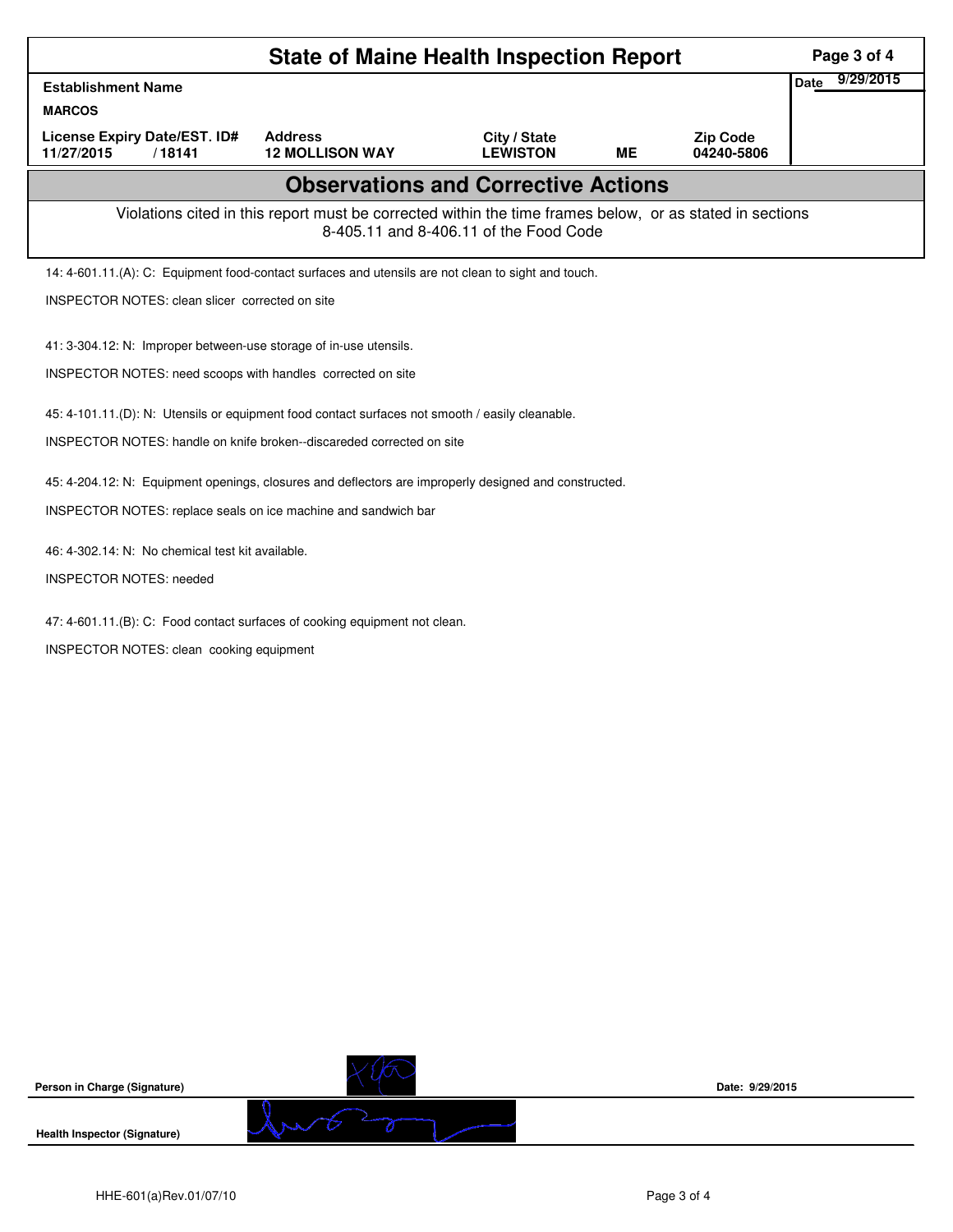| <b>State of Maine Health Inspection Report</b>                                                                                                     |                                                                                                       |                                 |           |                               |                          |  |  |  |  |
|----------------------------------------------------------------------------------------------------------------------------------------------------|-------------------------------------------------------------------------------------------------------|---------------------------------|-----------|-------------------------------|--------------------------|--|--|--|--|
| <b>Establishment Name</b>                                                                                                                          |                                                                                                       |                                 |           |                               | 9/29/2015<br><b>Date</b> |  |  |  |  |
| <b>MARCOS</b>                                                                                                                                      |                                                                                                       |                                 |           |                               |                          |  |  |  |  |
| <b>License Expiry Date/EST. ID#</b><br>11/27/2015<br>/18141                                                                                        | <b>Address</b><br><b>12 MOLLISON WAY</b>                                                              | City / State<br><b>LEWISTON</b> | <b>ME</b> | <b>Zip Code</b><br>04240-5806 |                          |  |  |  |  |
| <b>Observations and Corrective Actions</b>                                                                                                         |                                                                                                       |                                 |           |                               |                          |  |  |  |  |
| Violations cited in this report must be corrected within the time frames below, or as stated in sections<br>8-405.11 and 8-406.11 of the Food Code |                                                                                                       |                                 |           |                               |                          |  |  |  |  |
| 14: 4-601.11.(A): C: Equipment food-contact surfaces and utensils are not clean to sight and touch.                                                |                                                                                                       |                                 |           |                               |                          |  |  |  |  |
| INSPECTOR NOTES: clean slicer corrected on site                                                                                                    |                                                                                                       |                                 |           |                               |                          |  |  |  |  |
| 41: 3-304.12: N: Improper between-use storage of in-use utensils.                                                                                  |                                                                                                       |                                 |           |                               |                          |  |  |  |  |
| INSPECTOR NOTES: need scoops with handles corrected on site                                                                                        |                                                                                                       |                                 |           |                               |                          |  |  |  |  |
| 45: 4-101.11.(D): N: Utensils or equipment food contact surfaces not smooth / easily cleanable.                                                    |                                                                                                       |                                 |           |                               |                          |  |  |  |  |
| INSPECTOR NOTES: handle on knife broken--discareded corrected on site                                                                              |                                                                                                       |                                 |           |                               |                          |  |  |  |  |
|                                                                                                                                                    | 45: 4-204.12: N: Equipment openings, closures and deflectors are improperly designed and constructed. |                                 |           |                               |                          |  |  |  |  |
| INSPECTOR NOTES: replace seals on ice machine and sandwich bar                                                                                     |                                                                                                       |                                 |           |                               |                          |  |  |  |  |
|                                                                                                                                                    |                                                                                                       |                                 |           |                               |                          |  |  |  |  |
| 46: 4-302.14: N: No chemical test kit available.<br><b>INSPECTOR NOTES: needed</b>                                                                 |                                                                                                       |                                 |           |                               |                          |  |  |  |  |
|                                                                                                                                                    |                                                                                                       |                                 |           |                               |                          |  |  |  |  |
| 47: 4-601.11.(B): C: Food contact surfaces of cooking equipment not clean.                                                                         |                                                                                                       |                                 |           |                               |                          |  |  |  |  |
| INSPECTOR NOTES: clean cooking equipment                                                                                                           |                                                                                                       |                                 |           |                               |                          |  |  |  |  |
|                                                                                                                                                    |                                                                                                       |                                 |           |                               |                          |  |  |  |  |
|                                                                                                                                                    |                                                                                                       |                                 |           |                               |                          |  |  |  |  |